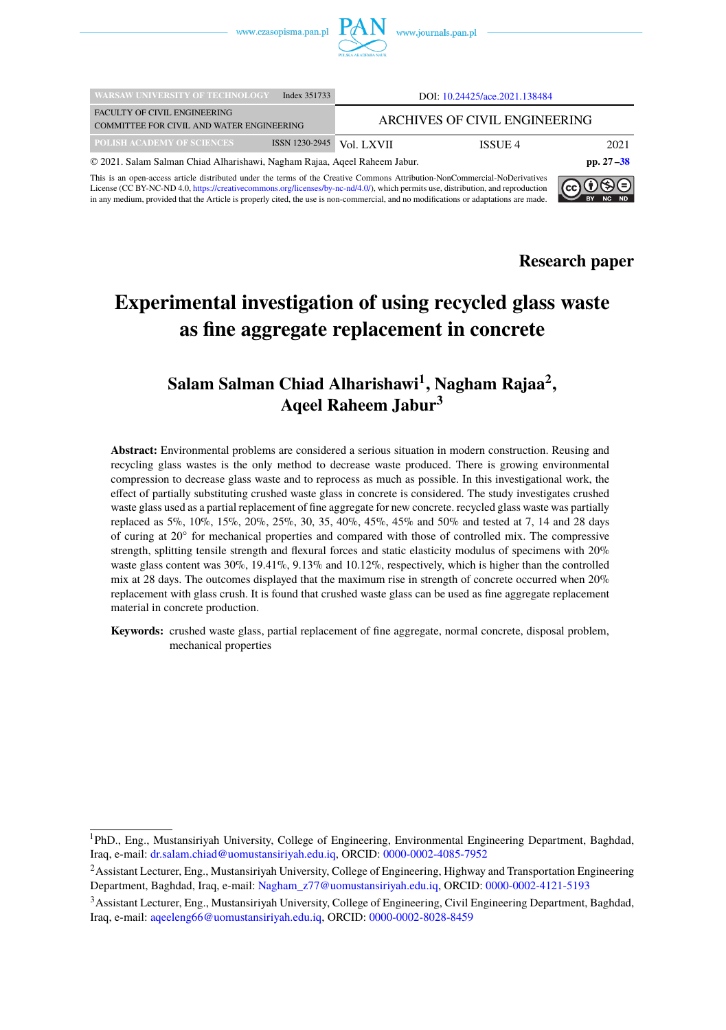

| <b>WARSAW UNIVERSITY OF TECHNOLOGY</b>                                    | Index 351733   |                               | DOI: 10.24425/ace.2021.138484 |               |
|---------------------------------------------------------------------------|----------------|-------------------------------|-------------------------------|---------------|
| <b>FACULTY OF CIVIL ENGINEERING</b>                                       |                | ARCHIVES OF CIVIL ENGINEERING |                               |               |
| COMMITTEE FOR CIVIL AND WATER ENGINEERING                                 |                |                               |                               |               |
| POLISH ACADEMY OF SCIENCES                                                | ISSN 1230-2945 | Vol. LXVII                    | ISSUE 4                       | 2021          |
| © 2021. Salam Salman Chiad Alharishawi, Nagham Rajaa, Aqeel Raheem Jabur. |                |                               |                               | pp. $27 - 38$ |

This is an open-access article distributed under the terms of the Creative Commons Attribution-NonCommercial-NoDerivatives License (CC BY-NC-ND 4.0, [https://creativecommons.org/licenses/by-nc-nd/4.0/\)](https://creativecommons.org/licenses/by-nc-nd/4.0/), which permits use, distribution, and reproduction in any medium, provided that the Article is properly cited, the use is non-commercial, and no modifications or adaptations are made.



**Research paper**

# **Experimental investigation of using recycled glass waste as fine aggregate replacement in concrete**

## **Salam Salman Chiad Alharishawi<sup>1</sup> , Nagham Rajaa<sup>2</sup> , Aqeel Raheem Jabur<sup>3</sup>**

**Abstract:** Environmental problems are considered a serious situation in modern construction. Reusing and recycling glass wastes is the only method to decrease waste produced. There is growing environmental compression to decrease glass waste and to reprocess as much as possible. In this investigational work, the effect of partially substituting crushed waste glass in concrete is considered. The study investigates crushed waste glass used as a partial replacement of fine aggregate for new concrete. recycled glass waste was partially replaced as 5%, 10%, 15%, 20%, 25%, 30, 35, 40%, 45%, 45% and 50% and tested at 7, 14 and 28 days of curing at 20° for mechanical properties and compared with those of controlled mix. The compressive strength, splitting tensile strength and flexural forces and static elasticity modulus of specimens with 20% waste glass content was  $30\%$ ,  $19.41\%$ ,  $9.13\%$  and  $10.12\%$ , respectively, which is higher than the controlled mix at 28 days. The outcomes displayed that the maximum rise in strength of concrete occurred when 20% replacement with glass crush. It is found that crushed waste glass can be used as fine aggregate replacement material in concrete production.

**Keywords:** crushed waste glass, partial replacement of fine aggregate, normal concrete, disposal problem, mechanical properties

<sup>1</sup>PhD., Eng., Mustansiriyah University, College of Engineering, Environmental Engineering Department, Baghdad, Iraq, e-mail: [dr.salam.chiad@uomustansiriyah.edu.iq,](mailto:dr.salam.chiad@uomustansiriyah.edu.iq) ORCID: [0000-0002-4085-7952](https://orcid.org/0000-0002-4085-7952)

<sup>2</sup>Assistant Lecturer, Eng., Mustansiriyah University, College of Engineering, Highway and Transportation Engineering Department, Baghdad, Iraq, e-mail: [Nagham\\_z77@uomustansiriyah.edu.iq,](mailto:Nagham_z77@uomustansiriyah.edu.iq) ORCID: [0000-0002-4121-5193](https://orcid.org/0000-0002-4121-5193)

<sup>3</sup>Assistant Lecturer, Eng., Mustansiriyah University, College of Engineering, Civil Engineering Department, Baghdad, Iraq, e-mail: [aqeeleng66@uomustansiriyah.edu.iq,](mailto:aqeeleng66@uomustansiriyah.edu.iq) ORCID: [0000-0002-8028-8459](https://orcid.org/0000-0002-8028-8459)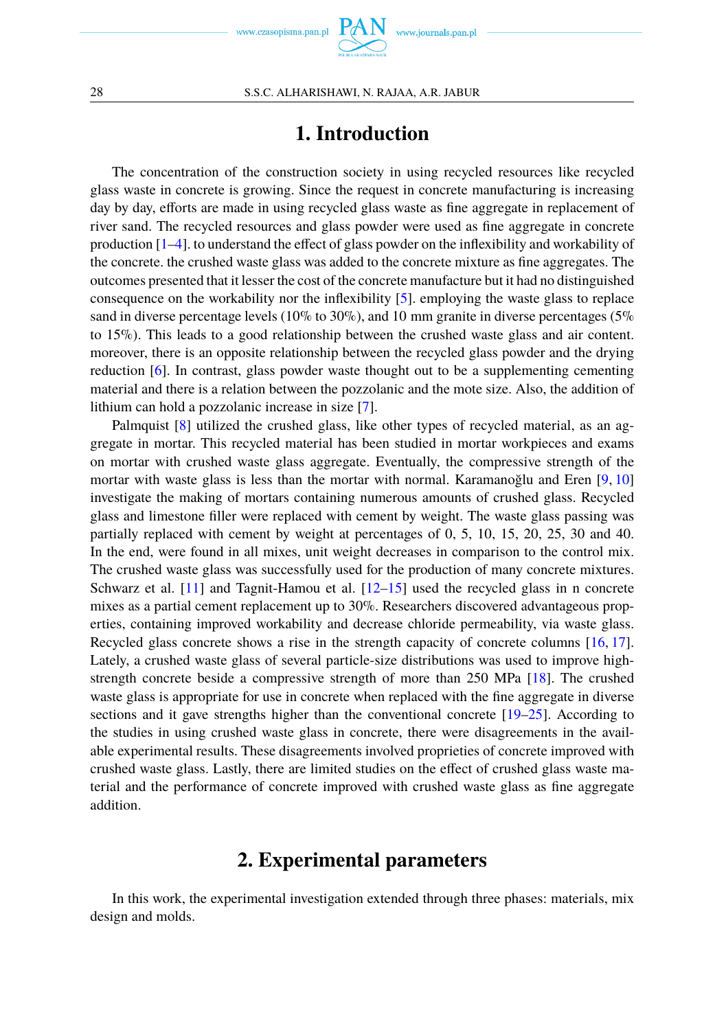## **1. Introduction**

The concentration of the construction society in using recycled resources like recycled glass waste in concrete is growing. Since the request in concrete manufacturing is increasing day by day, efforts are made in using recycled glass waste as fine aggregate in replacement of river sand. The recycled resources and glass powder were used as fine aggregate in concrete production [\[1](#page-10-1)[–4\]](#page-10-2). to understand the effect of glass powder on the inflexibility and workability of the concrete. the crushed waste glass was added to the concrete mixture as fine aggregates. The outcomes presented that it lesser the cost of the concrete manufacture but it had no distinguished consequence on the workability nor the inflexibility [\[5\]](#page-10-3). employing the waste glass to replace sand in diverse percentage levels (10% to 30%), and 10 mm granite in diverse percentages (5%) to 15%). This leads to a good relationship between the crushed waste glass and air content. moreover, there is an opposite relationship between the recycled glass powder and the drying reduction [\[6\]](#page-10-4). In contrast, glass powder waste thought out to be a supplementing cementing material and there is a relation between the pozzolanic and the mote size. Also, the addition of lithium can hold a pozzolanic increase in size [\[7\]](#page-10-5).

Palmquist [\[8\]](#page-10-6) utilized the crushed glass, like other types of recycled material, as an aggregate in mortar. This recycled material has been studied in mortar workpieces and exams on mortar with crushed waste glass aggregate. Eventually, the compressive strength of the mortar with waste glass is less than the mortar with normal. Karamanoğlu and Eren [\[9,](#page-10-7) [10\]](#page-10-8) investigate the making of mortars containing numerous amounts of crushed glass. Recycled glass and limestone filler were replaced with cement by weight. The waste glass passing was partially replaced with cement by weight at percentages of 0, 5, 10, 15, 20, 25, 30 and 40. In the end, were found in all mixes, unit weight decreases in comparison to the control mix. The crushed waste glass was successfully used for the production of many concrete mixtures. Schwarz et al.  $[11]$  and Tagnit-Hamou et al.  $[12-15]$  $[12-15]$  used the recycled glass in n concrete mixes as a partial cement replacement up to 30%. Researchers discovered advantageous properties, containing improved workability and decrease chloride permeability, via waste glass. Recycled glass concrete shows a rise in the strength capacity of concrete columns [\[16,](#page-10-12) [17\]](#page-10-13). Lately, a crushed waste glass of several particle-size distributions was used to improve highstrength concrete beside a compressive strength of more than 250 MPa [\[18\]](#page-10-14). The crushed waste glass is appropriate for use in concrete when replaced with the fine aggregate in diverse sections and it gave strengths higher than the conventional concrete [\[19](#page-10-15)[–25\]](#page-11-0). According to the studies in using crushed waste glass in concrete, there were disagreements in the available experimental results. These disagreements involved proprieties of concrete improved with crushed waste glass. Lastly, there are limited studies on the effect of crushed glass waste material and the performance of concrete improved with crushed waste glass as fine aggregate addition.

### **2. Experimental parameters**

In this work, the experimental investigation extended through three phases: materials, mix design and molds.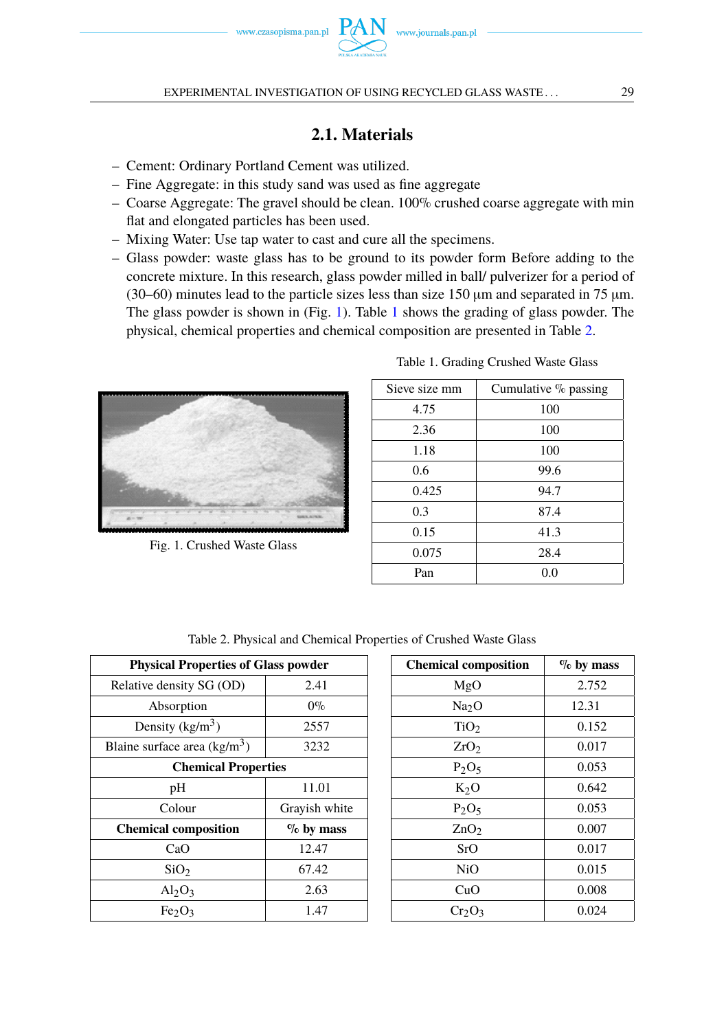

### **2.1. Materials**

- Cement: Ordinary Portland Cement was utilized.
- Fine Aggregate: in this study sand was used as fine aggregate
- Coarse Aggregate: The gravel should be clean. 100% crushed coarse aggregate with min flat and elongated particles has been used.
- Mixing Water: Use tap water to cast and cure all the specimens.
- Glass powder: waste glass has to be ground to its powder form Before adding to the concrete mixture. In this research, glass powder milled in ball/ pulverizer for a period of (30–60) minutes lead to the particle sizes less than size 150  $\mu$ m and separated in 75  $\mu$ m. The glass powder is shown in (Fig. [1\)](#page-2-0). Table [1](#page-2-0) shows the grading of glass powder. The physical, chemical properties and chemical composition are presented in Table [2.](#page-2-1)

<span id="page-2-0"></span>

Fig. 1. Crushed Waste Glass

| Sieve size mm | Cumulative % passing |
|---------------|----------------------|
| 4.75          | 100                  |
| 2.36          | 100                  |
| 1.18          | 100                  |
| 0.6           | 99.6                 |
| 0.425         | 94.7                 |
| 0.3           | 87.4                 |
| 0.15          | 41.3                 |
| 0.075         | 28.4                 |
| Pan           | 0.0                  |

Table 1. Grading Crushed Waste Glass

<span id="page-2-1"></span>

| <b>Physical Properties of Glass powder</b> |               | <b>Chemica</b> |
|--------------------------------------------|---------------|----------------|
| Relative density SG (OD)                   | 2.41          |                |
| Absorption                                 | $0\%$         |                |
| Density $(kg/m^3)$                         | 2557          |                |
| Blaine surface area $(kg/m3)$              | 3232          |                |
| <b>Chemical Properties</b>                 |               |                |
| pH                                         | 11.01         |                |
| Colour                                     | Grayish white |                |
| <b>Chemical composition</b>                | $\%$ by mass  |                |
| CaO                                        | 12.47         |                |
| SiO <sub>2</sub>                           | 67.42         |                |
| $Al_2O_3$                                  | 2.63          |                |
| Fe <sub>2</sub> O <sub>3</sub>             | 1.47          |                |

Table 2. Physical and Chemical Properties of Crushed Waste Glass

| <b>Chemical composition</b> | $\%$ by mass |
|-----------------------------|--------------|
| MgO                         | 2.752        |
| Na <sub>2</sub> O           | 12.31        |
| TiO <sub>2</sub>            | 0.152        |
| ZrO <sub>2</sub>            | 0.017        |
| $P_2O_5$                    | 0.053        |
| $K_2O$                      | 0.642        |
| $P_2O_5$                    | 0.053        |
| ZnO <sub>2</sub>            | 0.007        |
| SrO                         | 0.017        |
| NiO                         | 0.015        |
| CuO                         | 0.008        |
| Cr2O3                       | 0.024        |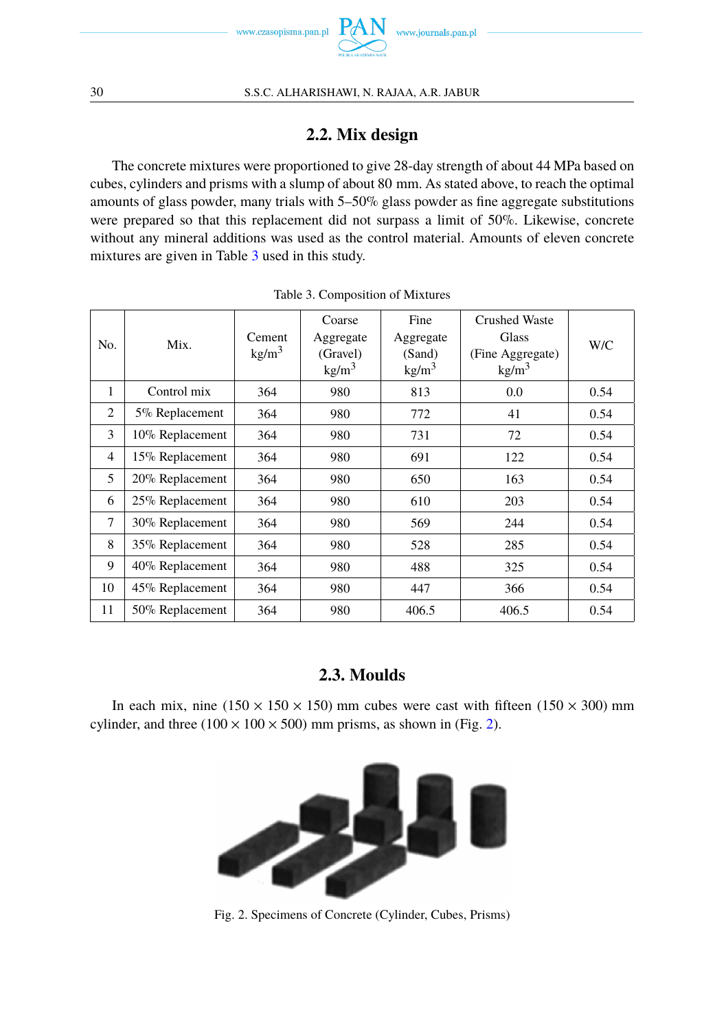

### **2.2. Mix design**

The concrete mixtures were proportioned to give 28-day strength of about 44 MPa based on cubes, cylinders and prisms with a slump of about 80 mm. As stated above, to reach the optimal amounts of glass powder, many trials with 5–50% glass powder as fine aggregate substitutions were prepared so that this replacement did not surpass a limit of 50%. Likewise, concrete without any mineral additions was used as the control material. Amounts of eleven concrete mixtures are given in Table [3](#page-3-0) used in this study.

<span id="page-3-0"></span>

| No.            | Mix.            | Cement<br>kg/m <sup>3</sup> | Coarse<br>Aggregate<br>(Gravel)<br>$\text{kg/m}^3$ | Fine<br>Aggregate<br>(Sand)<br>kg/m <sup>3</sup> | <b>Crushed Waste</b><br>Glass<br>(Fine Aggregate)<br>kg/m <sup>3</sup> | W/C  |
|----------------|-----------------|-----------------------------|----------------------------------------------------|--------------------------------------------------|------------------------------------------------------------------------|------|
| 1              | Control mix     | 364                         | 980                                                | 813                                              | 0.0                                                                    | 0.54 |
| $\overline{2}$ | 5% Replacement  | 364                         | 980                                                | 772                                              | 41                                                                     | 0.54 |
| 3              | 10% Replacement | 364                         | 980                                                | 731                                              | 72                                                                     | 0.54 |
| $\overline{4}$ | 15% Replacement | 364                         | 980                                                | 691                                              | 122                                                                    | 0.54 |
| 5              | 20% Replacement | 364                         | 980                                                | 650                                              | 163                                                                    | 0.54 |
| 6              | 25% Replacement | 364                         | 980                                                | 610                                              | 203                                                                    | 0.54 |
| 7              | 30% Replacement | 364                         | 980                                                | 569                                              | 244                                                                    | 0.54 |
| 8              | 35% Replacement | 364                         | 980                                                | 528                                              | 285                                                                    | 0.54 |
| 9              | 40% Replacement | 364                         | 980                                                | 488                                              | 325                                                                    | 0.54 |
| 10             | 45% Replacement | 364                         | 980                                                | 447                                              | 366                                                                    | 0.54 |
| 11             | 50% Replacement | 364                         | 980                                                | 406.5                                            | 406.5                                                                  | 0.54 |

Table 3. Composition of Mixtures

### **2.3. Moulds**

<span id="page-3-1"></span>In each mix, nine ( $150 \times 150 \times 150$ ) mm cubes were cast with fifteen ( $150 \times 300$ ) mm cylinder, and three  $(100 \times 100 \times 500)$  mm prisms, as shown in (Fig. [2\)](#page-3-1).



Fig. 2. Specimens of Concrete (Cylinder, Cubes, Prisms)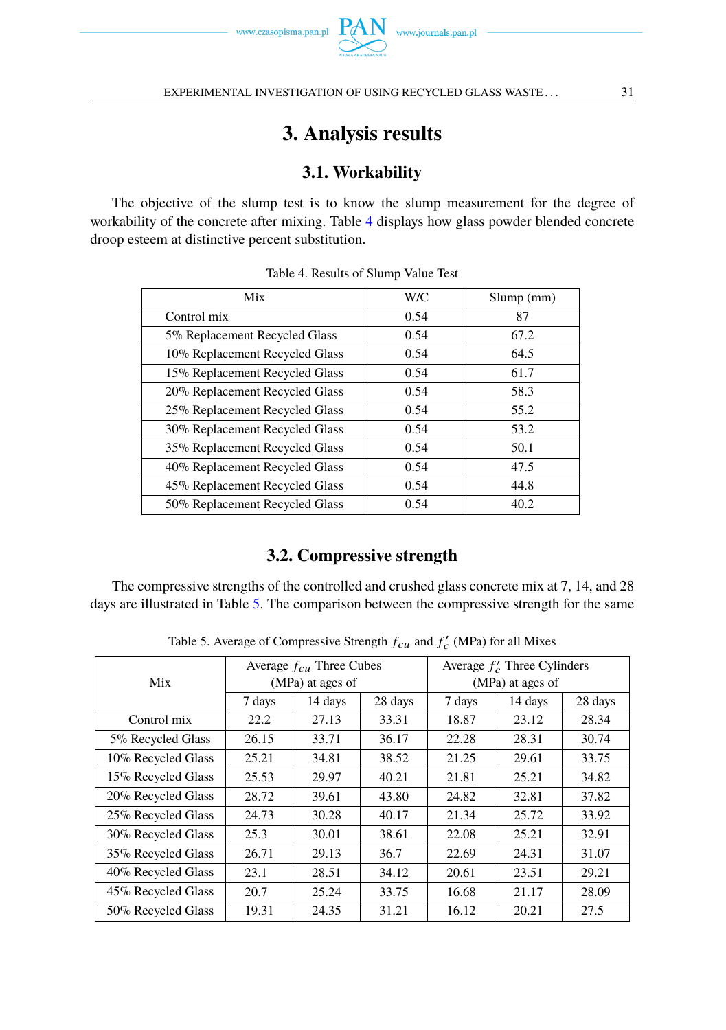

EXPERIMENTAL INVESTIGATION OF USING RECYCLED GLASS WASTE . . .  $31$ 

# **3. Analysis results**

## **3.1. Workability**

<span id="page-4-0"></span>The objective of the slump test is to know the slump measurement for the degree of workability of the concrete after mixing. Table [4](#page-4-0) displays how glass powder blended concrete droop esteem at distinctive percent substitution.

| Mix                            | W/C  | $Slump$ (mm) |
|--------------------------------|------|--------------|
| Control mix                    | 0.54 | 87           |
| 5% Replacement Recycled Glass  | 0.54 | 67.2         |
| 10% Replacement Recycled Glass | 0.54 | 64.5         |
| 15% Replacement Recycled Glass | 0.54 | 61.7         |
| 20% Replacement Recycled Glass | 0.54 | 58.3         |
| 25% Replacement Recycled Glass | 0.54 | 55.2         |
| 30% Replacement Recycled Glass | 0.54 | 53.2         |
| 35% Replacement Recycled Glass | 0.54 | 50.1         |
| 40% Replacement Recycled Glass | 0.54 | 47.5         |
| 45% Replacement Recycled Glass | 0.54 | 44.8         |
| 50% Replacement Recycled Glass | 0.54 | 40.2         |

| Table 4. Results of Slump Value Test |  |  |  |  |
|--------------------------------------|--|--|--|--|
|--------------------------------------|--|--|--|--|

### **3.2. Compressive strength**

The compressive strengths of the controlled and crushed glass concrete mix at 7, 14, and 28 days are illustrated in Table [5.](#page-4-1) The comparison between the compressive strength for the same

<span id="page-4-1"></span>

|                    | Average $f_{cu}$ Three Cubes |                  |         | Average $f'_c$ Three Cylinders |         |         |
|--------------------|------------------------------|------------------|---------|--------------------------------|---------|---------|
| Mix                |                              | (MPa) at ages of |         | (MPa) at ages of               |         |         |
|                    | 7 days                       | 14 days          | 28 days | 7 days                         | 14 days | 28 days |
| Control mix        | 22.2                         | 27.13            | 33.31   | 18.87                          | 23.12   | 28.34   |
| 5% Recycled Glass  | 26.15                        | 33.71            | 36.17   | 22.28                          | 28.31   | 30.74   |
| 10% Recycled Glass | 25.21                        | 34.81            | 38.52   | 21.25                          | 29.61   | 33.75   |
| 15% Recycled Glass | 25.53                        | 29.97            | 40.21   | 21.81                          | 25.21   | 34.82   |
| 20% Recycled Glass | 28.72                        | 39.61            | 43.80   | 24.82                          | 32.81   | 37.82   |
| 25% Recycled Glass | 24.73                        | 30.28            | 40.17   | 21.34                          | 25.72   | 33.92   |
| 30% Recycled Glass | 25.3                         | 30.01            | 38.61   | 22.08                          | 25.21   | 32.91   |
| 35% Recycled Glass | 26.71                        | 29.13            | 36.7    | 22.69                          | 24.31   | 31.07   |
| 40% Recycled Glass | 23.1                         | 28.51            | 34.12   | 20.61                          | 23.51   | 29.21   |
| 45% Recycled Glass | 20.7                         | 25.24            | 33.75   | 16.68                          | 21.17   | 28.09   |
| 50% Recycled Glass | 19.31                        | 24.35            | 31.21   | 16.12                          | 20.21   | 27.5    |

Table 5. Average of Compressive Strength  $f_{cu}$  and  $f'_{c}$  (MPa) for all Mixes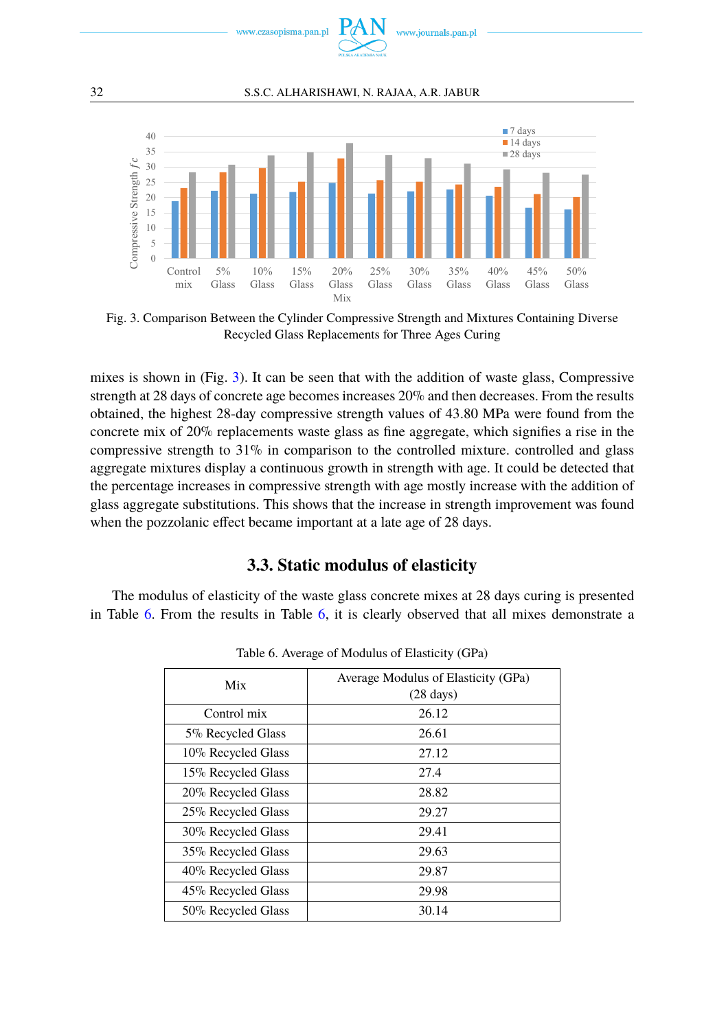

#### 32 S.S.C. ALHARISHAWI, N. RAJAA, A.R. JABUR

<span id="page-5-0"></span>

Fig. 3. Comparison Between the Cylinder Compressive Strength and Mixtures Containing Diverse Recycled Glass Replacements for Three Ages Curing

mixes is shown in (Fig. [3\)](#page-5-0). It can be seen that with the addition of waste glass, Compressive strength at 28 days of concrete age becomes increases 20% and then decreases. From the results obtained, the highest 28-day compressive strength values of 43.80 MPa were found from the concrete mix of 20% replacements waste glass as fine aggregate, which signifies a rise in the compressive strength to 31% in comparison to the controlled mixture. controlled and glass aggregate mixtures display a continuous growth in strength with age. It could be detected that the percentage increases in compressive strength with age mostly increase with the addition of glass aggregate substitutions. This shows that the increase in strength improvement was found when the pozzolanic effect became important at a late age of 28 days.

#### **3.3. Static modulus of elasticity**

<span id="page-5-1"></span>The modulus of elasticity of the waste glass concrete mixes at 28 days curing is presented in Table [6.](#page-5-1) From the results in Table [6,](#page-5-1) it is clearly observed that all mixes demonstrate a

| Mix                | Average Modulus of Elasticity (GPa)<br>$(28 \text{ days})$ |
|--------------------|------------------------------------------------------------|
| Control mix        | 26.12                                                      |
| 5% Recycled Glass  | 26.61                                                      |
| 10% Recycled Glass | 27.12                                                      |
| 15% Recycled Glass | 27.4                                                       |
| 20% Recycled Glass | 28.82                                                      |
| 25% Recycled Glass | 29.27                                                      |
| 30% Recycled Glass | 29.41                                                      |
| 35% Recycled Glass | 29.63                                                      |
| 40% Recycled Glass | 29.87                                                      |
| 45% Recycled Glass | 29.98                                                      |
| 50% Recycled Glass | 30.14                                                      |

Table 6. Average of Modulus of Elasticity (GPa)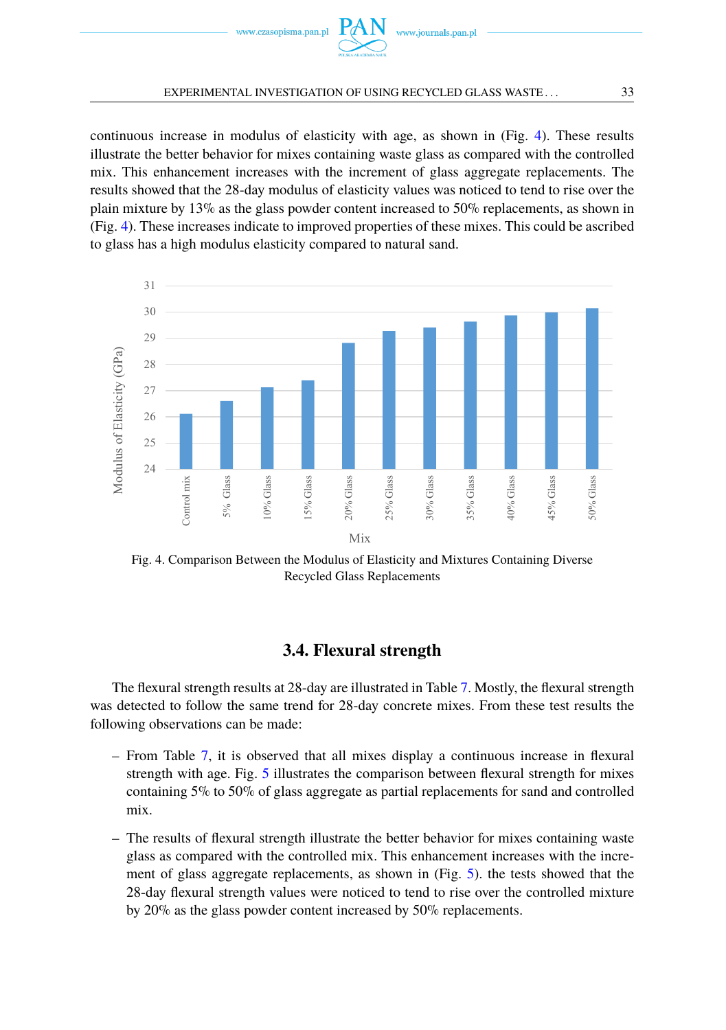

#### EXPERIMENTAL INVESTIGATION OF USING RECYCLED GLASS WASTE . . .  $33$

continuous increase in modulus of elasticity with age, as shown in (Fig. [4\)](#page-6-0). These results illustrate the better behavior for mixes containing waste glass as compared with the controlled mix. This enhancement increases with the increment of glass aggregate replacements. The results showed that the 28-day modulus of elasticity values was noticed to tend to rise over the plain mixture by 13% as the glass powder content increased to 50% replacements, as shown in (Fig. [4\)](#page-6-0). These increases indicate to improved properties of these mixes. This could be ascribed to glass has a high modulus elasticity compared to natural sand.

<span id="page-6-0"></span>

Fig. 4. Comparison Between the Modulus of Elasticity and Mixtures Containing Diverse Recycled Glass Replacements

### **3.4. Flexural strength**

The flexural strength results at 28-day are illustrated in Table [7.](#page-7-0) Mostly, the flexural strength was detected to follow the same trend for 28-day concrete mixes. From these test results the following observations can be made:

- From Table [7,](#page-7-0) it is observed that all mixes display a continuous increase in flexural strength with age. Fig. [5](#page-7-1) illustrates the comparison between flexural strength for mixes containing 5% to 50% of glass aggregate as partial replacements for sand and controlled mix.
- The results of flexural strength illustrate the better behavior for mixes containing waste glass as compared with the controlled mix. This enhancement increases with the increment of glass aggregate replacements, as shown in (Fig. [5\)](#page-7-1). the tests showed that the 28-day flexural strength values were noticed to tend to rise over the controlled mixture by 20% as the glass powder content increased by 50% replacements.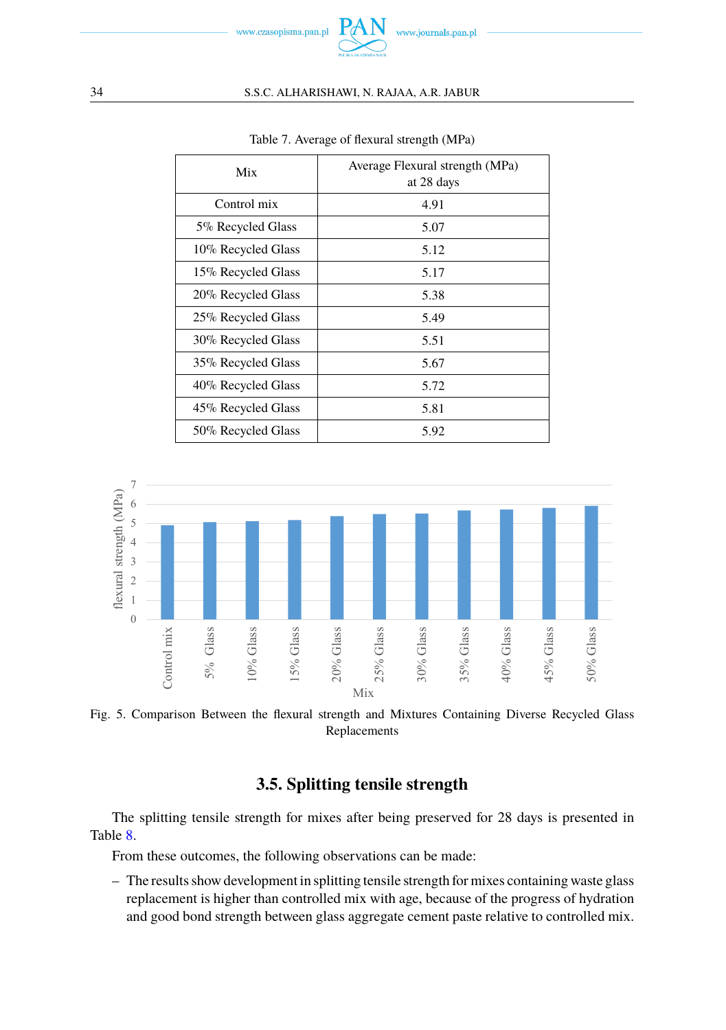

#### <span id="page-7-0"></span>34 S.S.C. ALHARISHAWI, N. RAJAA, A.R. JABUR

| Mix                | Average Flexural strength (MPa)<br>at 28 days |
|--------------------|-----------------------------------------------|
| Control mix        | 4.91                                          |
| 5% Recycled Glass  | 5.07                                          |
| 10% Recycled Glass | 5.12                                          |
| 15% Recycled Glass | 5.17                                          |
| 20% Recycled Glass | 5.38                                          |
| 25% Recycled Glass | 5.49                                          |
| 30% Recycled Glass | 5.51                                          |
| 35% Recycled Glass | 5.67                                          |
| 40% Recycled Glass | 5.72                                          |
| 45% Recycled Glass | 5.81                                          |
| 50% Recycled Glass | 5.92                                          |

Table 7. Average of flexural strength (MPa)

<span id="page-7-1"></span>

Fig. 5. Comparison Between the flexural strength and Mixtures Containing Diverse Recycled Glass Replacements

### **3.5. Splitting tensile strength**

The splitting tensile strength for mixes after being preserved for 28 days is presented in Table [8.](#page-8-0)

From these outcomes, the following observations can be made:

– The results show development in splitting tensile strength for mixes containing waste glass replacement is higher than controlled mix with age, because of the progress of hydration and good bond strength between glass aggregate cement paste relative to controlled mix.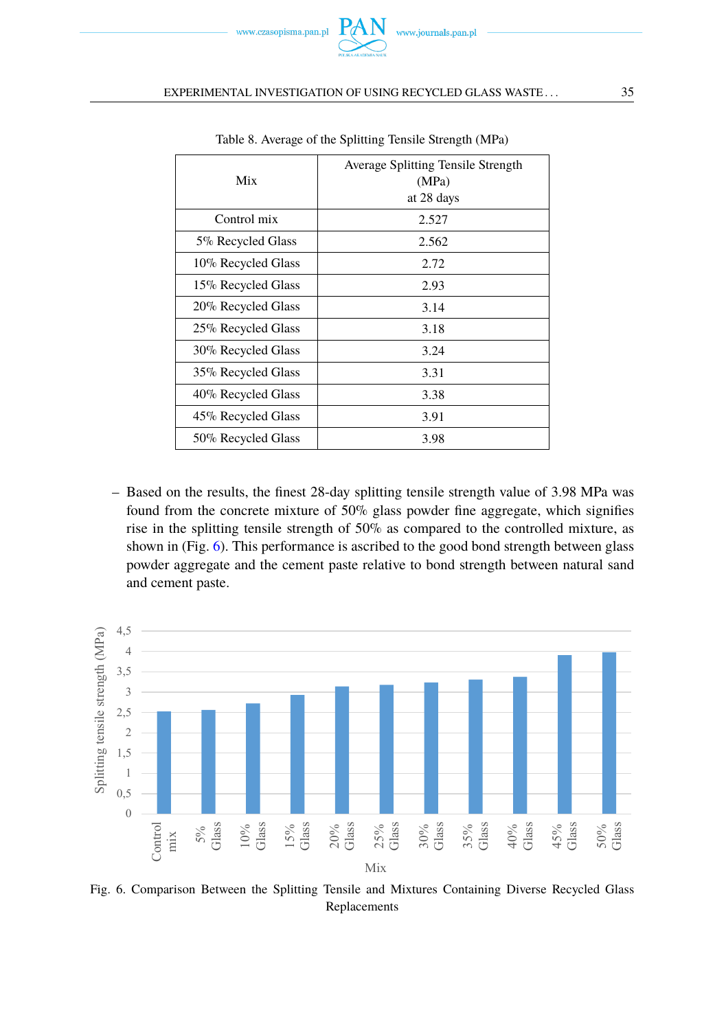

#### <span id="page-8-0"></span>EXPERIMENTAL INVESTIGATION OF USING RECYCLED GLASS WASTE . . .  $35$

| Mix                | Average Splitting Tensile Strength<br>(MPa)<br>at 28 days |
|--------------------|-----------------------------------------------------------|
| Control mix        | 2.527                                                     |
| 5% Recycled Glass  | 2.562                                                     |
| 10% Recycled Glass | 2.72                                                      |
| 15% Recycled Glass | 2.93                                                      |
| 20% Recycled Glass | 3.14                                                      |
| 25% Recycled Glass | 3.18                                                      |
| 30% Recycled Glass | 3.24                                                      |
| 35% Recycled Glass | 3.31                                                      |
| 40% Recycled Glass | 3.38                                                      |
| 45% Recycled Glass | 3.91                                                      |
| 50% Recycled Glass | 3.98                                                      |

Table 8. Average of the Splitting Tensile Strength (MPa)

– Based on the results, the finest 28-day splitting tensile strength value of 3.98 MPa was found from the concrete mixture of 50% glass powder fine aggregate, which signifies rise in the splitting tensile strength of 50% as compared to the controlled mixture, as shown in (Fig. [6\)](#page-8-1). This performance is ascribed to the good bond strength between glass powder aggregate and the cement paste relative to bond strength between natural sand and cement paste.

<span id="page-8-1"></span>

Fig. 6. Comparison Between the Splitting Tensile and Mixtures Containing Diverse Recycled Glass Replacements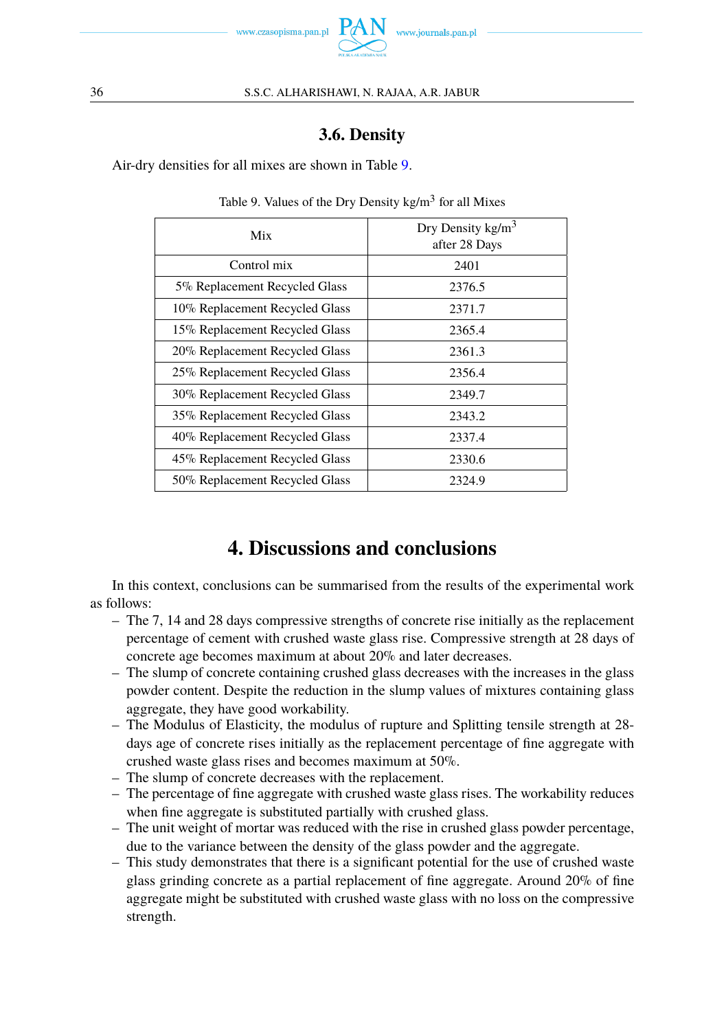

### **3.6. Density**

<span id="page-9-0"></span>Air-dry densities for all mixes are shown in Table [9.](#page-9-0)

| Mix                            | Dry Density $\text{kg/m}^3$<br>after 28 Days |
|--------------------------------|----------------------------------------------|
| Control mix                    | 2401                                         |
| 5% Replacement Recycled Glass  | 2376.5                                       |
| 10% Replacement Recycled Glass | 2371.7                                       |
| 15% Replacement Recycled Glass | 2365.4                                       |
| 20% Replacement Recycled Glass | 2361.3                                       |
| 25% Replacement Recycled Glass | 2356.4                                       |
| 30% Replacement Recycled Glass | 2349.7                                       |
| 35% Replacement Recycled Glass | 2343.2                                       |
| 40% Replacement Recycled Glass | 2337.4                                       |
| 45% Replacement Recycled Glass | 2330.6                                       |
| 50% Replacement Recycled Glass | 2324.9                                       |

Table 9. Values of the Dry Density kg/m<sup>3</sup> for all Mixes

## **4. Discussions and conclusions**

In this context, conclusions can be summarised from the results of the experimental work as follows:

- The 7, 14 and 28 days compressive strengths of concrete rise initially as the replacement percentage of cement with crushed waste glass rise. Compressive strength at 28 days of concrete age becomes maximum at about 20% and later decreases.
- The slump of concrete containing crushed glass decreases with the increases in the glass powder content. Despite the reduction in the slump values of mixtures containing glass aggregate, they have good workability.
- The Modulus of Elasticity, the modulus of rupture and Splitting tensile strength at 28 days age of concrete rises initially as the replacement percentage of fine aggregate with crushed waste glass rises and becomes maximum at 50%.
- The slump of concrete decreases with the replacement.
- The percentage of fine aggregate with crushed waste glass rises. The workability reduces when fine aggregate is substituted partially with crushed glass.
- The unit weight of mortar was reduced with the rise in crushed glass powder percentage, due to the variance between the density of the glass powder and the aggregate.
- This study demonstrates that there is a significant potential for the use of crushed waste glass grinding concrete as a partial replacement of fine aggregate. Around 20% of fine aggregate might be substituted with crushed waste glass with no loss on the compressive strength.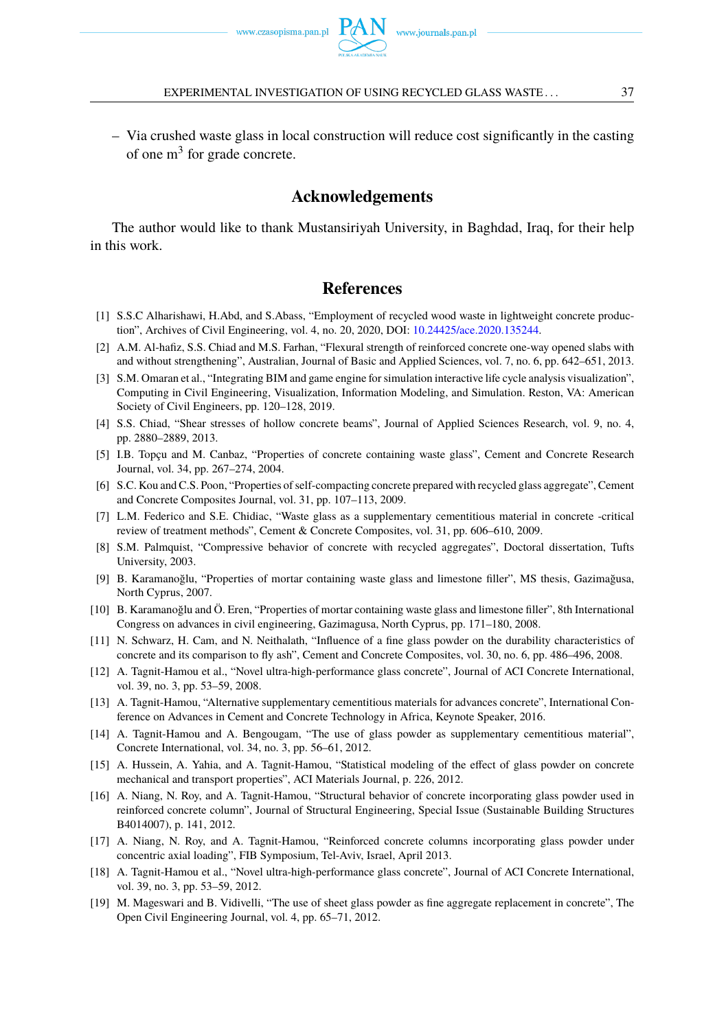– Via crushed waste glass in local construction will reduce cost significantly in the casting of one m<sup>3</sup> for grade concrete.

#### **Acknowledgements**

The author would like to thank Mustansiriyah University, in Baghdad, Iraq, for their help in this work.

#### <span id="page-10-0"></span>**References**

- <span id="page-10-1"></span>[1] S.S.C Alharishawi, H.Abd, and S.Abass, "Employment of recycled wood waste in lightweight concrete production", Archives of Civil Engineering, vol. 4, no. 20, 2020, DOI: [10.24425/ace.2020.135244.](https://doi.org/10.24425/ace.2020.135244)
- [2] A.M. Al-hafiz, S.S. Chiad and M.S. Farhan, "Flexural strength of reinforced concrete one-way opened slabs with and without strengthening", Australian, Journal of Basic and Applied Sciences, vol. 7, no. 6, pp. 642–651, 2013.
- [3] S.M. Omaran et al., "Integrating BIM and game engine for simulation interactive life cycle analysis visualization", Computing in Civil Engineering, Visualization, Information Modeling, and Simulation. Reston, VA: American Society of Civil Engineers, pp. 120–128, 2019.
- <span id="page-10-2"></span>[4] S.S. Chiad, "Shear stresses of hollow concrete beams", Journal of Applied Sciences Research, vol. 9, no. 4, pp. 2880–2889, 2013.
- <span id="page-10-3"></span>[5] I.B. Topçu and M. Canbaz, "Properties of concrete containing waste glass", Cement and Concrete Research Journal, vol. 34, pp. 267–274, 2004.
- <span id="page-10-4"></span>[6] S.C. Kou and C.S. Poon, "Properties of self-compacting concrete prepared with recycled glass aggregate", Cement and Concrete Composites Journal, vol. 31, pp. 107–113, 2009.
- <span id="page-10-5"></span>[7] L.M. Federico and S.E. Chidiac, "Waste glass as a supplementary cementitious material in concrete -critical review of treatment methods", Cement & Concrete Composites, vol. 31, pp. 606–610, 2009.
- <span id="page-10-6"></span>[8] S.M. Palmquist, "Compressive behavior of concrete with recycled aggregates", Doctoral dissertation, Tufts University, 2003.
- <span id="page-10-7"></span>[9] B. Karamanoğlu, "Properties of mortar containing waste glass and limestone filler", MS thesis, Gazimağusa, North Cyprus, 2007.
- <span id="page-10-8"></span>[10] B. Karamanoğlu and Ö. Eren, "Properties of mortar containing waste glass and limestone filler", 8th International Congress on advances in civil engineering, Gazimagusa, North Cyprus, pp. 171–180, 2008.
- <span id="page-10-9"></span>[11] N. Schwarz, H. Cam, and N. Neithalath, "Influence of a fine glass powder on the durability characteristics of concrete and its comparison to fly ash", Cement and Concrete Composites, vol. 30, no. 6, pp. 486–496, 2008.
- <span id="page-10-10"></span>[12] A. Tagnit-Hamou et al., "Novel ultra-high-performance glass concrete", Journal of ACI Concrete International, vol. 39, no. 3, pp. 53–59, 2008.
- [13] A. Tagnit-Hamou, "Alternative supplementary cementitious materials for advances concrete", International Conference on Advances in Cement and Concrete Technology in Africa, Keynote Speaker, 2016.
- [14] A. Tagnit-Hamou and A. Bengougam, "The use of glass powder as supplementary cementitious material", Concrete International, vol. 34, no. 3, pp. 56–61, 2012.
- <span id="page-10-11"></span>[15] A. Hussein, A. Yahia, and A. Tagnit-Hamou, "Statistical modeling of the effect of glass powder on concrete mechanical and transport properties", ACI Materials Journal, p. 226, 2012.
- <span id="page-10-12"></span>[16] A. Niang, N. Roy, and A. Tagnit-Hamou, "Structural behavior of concrete incorporating glass powder used in reinforced concrete column", Journal of Structural Engineering, Special Issue (Sustainable Building Structures B4014007), p. 141, 2012.
- <span id="page-10-13"></span>[17] A. Niang, N. Roy, and A. Tagnit-Hamou, "Reinforced concrete columns incorporating glass powder under concentric axial loading", FIB Symposium, Tel-Aviv, Israel, April 2013.
- <span id="page-10-14"></span>[18] A. Tagnit-Hamou et al., "Novel ultra-high-performance glass concrete", Journal of ACI Concrete International, vol. 39, no. 3, pp. 53–59, 2012.
- <span id="page-10-15"></span>[19] M. Mageswari and B. Vidivelli, "The use of sheet glass powder as fine aggregate replacement in concrete", The Open Civil Engineering Journal, vol. 4, pp. 65–71, 2012.